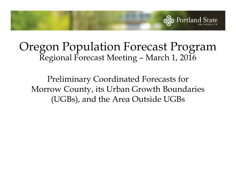

## Oregon Population Forecast Program Regional Forecast Meeting – March 1, 2016

Preliminary Coordinated Forecasts for Morrow County, its Urban Growth Boundaries (UGBs), and the Area Outside UGBs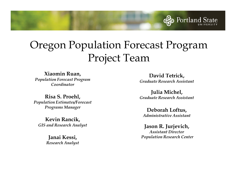

**Xiaomin Ruan,**  *Population Forecast Program Coordinator*

**Risa S. Proehl,** *Population Estimates/Forecast Programs Manager*

**Kevin Rancik,** *GIS and Research Analyst*

> **Janai Kessi,**  *Research Analyst*

**David Tetrick,** *Graduate Research Assistant*

Portland State

**Julia Michel,** *Graduate Research Assistant*

**Deborah Loftus,** *Administrative Assistant*

**Jason R. Jurjevich,**  *Assistant DirectorPopulation Research Center*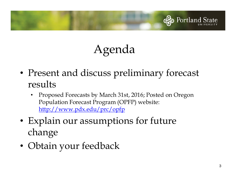

# Agenda

- • Present and discuss preliminary forecast results
	- • Proposed Forecasts by March 31st, 2016; Posted on Oregon Population Forecast Program (OPFP) website: http://www.pdx.edu/prc/opfp
- • Explain our assumptions for future change
- •Obtain your feedback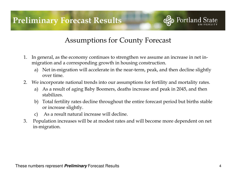

- 1. In general, as the economy continues to strengthen we assume an increase in net inmigration and a corresponding growth in housing construction.
	- a) Net in-migration will accelerate in the near-term, peak, and then decline slightly over time.
- 2. We incorporate national trends into our assumptions for fertility and mortality rates.
	- a) As a result of aging Baby Boomers, deaths increase and peak in 2045, and then stabilizes.
	- b) Total fertility rates decline throughout the entire forecast period but births stable or increase slightly.
	- c) As a result natural increase will decline.
- 3. Population increases will be at modest rates and will become more dependent on net in-migration.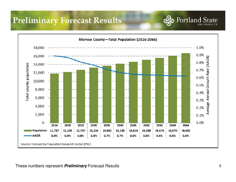### **Preliminary Forecast Results**



These numbers represent **Preliminary** Forecast Results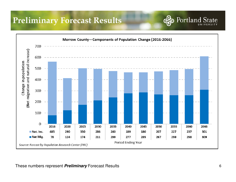### **Preliminary Forecast Results**

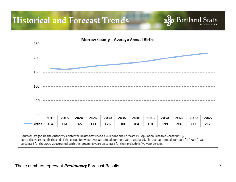

Sources: Oregon Health Authority, Center for Health Statistics. Calculations and Forecast by Population Research Center (PRC). Note: The years signify the end of the period for which average annual numbers were calculated. The average annual numbers for "2010" were calculated for the 2000-2010 period, with the remaining years calculated for their preceding five-year periods.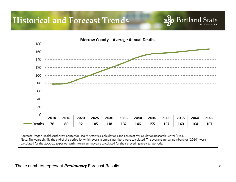

Sources: Oregon Health Authority, Center for Health Statistics. Calculations and Forecast by Population Research Center (PRC). Note: The years signify the end of the period for which average annual numbers were calculated. The average annual numbers for "2010" were calculated for the 2000-2010 period, with the remaining years calculated for their preceding five-year periods.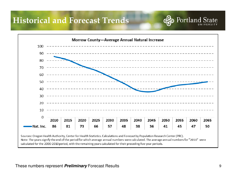

Note: The years signify the end of the period for which average annual numbers were calculated. The average annual numbers for "2010" were calculated for the 2000-2010 period, with the remaining years calculated for their preceding five-year periods.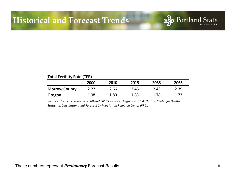#### **Total Fertility Rate (TFR)<sup>2000</sup> <sup>2010</sup> <sup>2015</sup> <sup>2035</sup> <sup>2065</sup>Morrow County** 2.22 2.66 2.46 2.43 2.39**Oregon**n 1.98 1.80 1.83 1.78 1.73

*Sources: U.S. Census Bureau, 2000 and 2010 Censuses. Oregon Health Authority, Center for Health Statistics. Calculations and Forecast by Population Research Center (PRC).*

These numbers represent **Preliminary** Forecast Results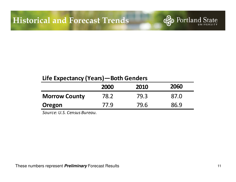

|                      | <b>2000</b> | 2010 | 2060 |
|----------------------|-------------|------|------|
| <b>Morrow County</b> | 78.2        | 79.3 | 87.0 |
| Oregon               | 77.9        | 79.6 | 86.9 |

*Source: U.S. Census Bureau.*

These numbers represent **Preliminary** Forecast Results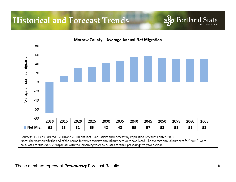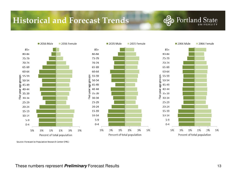

Source: Forecast by Population Research Center (PRC)

These numbers represent **Preliminary** Forecast Results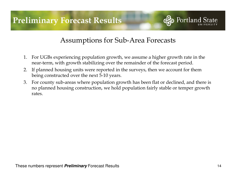

#### Assumptions for Sub-Area Forecasts

- 1. For UGBs experiencing population growth, we assume a higher growth rate in the near-term, with growth stabilizing over the remainder of the forecast period.
- 2. If planned housing units were reported in the surveys, then we account for them being constructed over the next 5-10 years.
- 3. For county sub-areas where population growth has been flat or declined, and there is no planned housing construction, we hold population fairly stable or temper growth rates.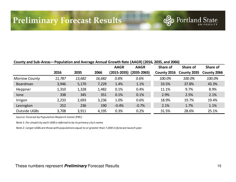### **Preliminary Forecast Results**

#### **County and Sub-Areas—Population and Average Annual Growth Rate (AAGR) (2016, 2035, and 2066)**

|                      |        |        |        | <b>AAGR</b> | <b>AAGR</b>     | Share of    | Share of    | Share of    |
|----------------------|--------|--------|--------|-------------|-----------------|-------------|-------------|-------------|
|                      | 2016   | 2035   | 2066   | (2015-2035) | $(2035 - 2065)$ | County 2016 | County 2035 | County 2066 |
| <b>Morrow County</b> | 11,787 | 13,682 | 16,682 | 0.8%        | 0.6%            | 100.0%      | 100.0%      | 100.0%      |
| Boardman             | 3,946  | 5,170  | 7,229  | 1.4%        | 1.1%            | 33.5%       | 37.8%       | 43.3%       |
| Heppner              | 1,310  | 1,328  | 1,482  | 0.1%        | 0.4%            | 11.1%       | 9.7%        | 8.9%        |
| lone                 | 338    | 345    | 351    | 0.1%        | 0.1%            | 2.9%        | 2.5%        | 2.1%        |
| Irrigon              | 2,233  | 2,693  | 3,236  | 1.0%        | 0.6%            | 18.9%       | 19.7%       | 19.4%       |
| Lexington            | 252    | 236    | 190    | $-0.4%$     | $-0.7%$         | 2.1%        | 1.7%        | 1.1%        |
| <b>Outside UGBs</b>  | 3,708  | 3,911  | 4,195  | 0.3%        | 0.2%            | 31.5%       | 28.6%       | 25.1%       |

*Source: Forecast by Population Research Center (PRC)*

*Note 1: For simplicity each UGB is referred to by its primary city's name.*

*Note 2: Larger UGBs are those with populations equal to or greater than 7,000 in forecast launch year.*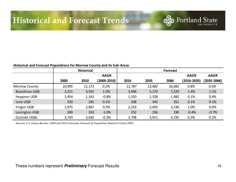#### **Historical and Forecast Populations for Morrow County and its Sub-Areas**

|                      |        | <b>Historical</b> |             |        |        | <b>Forecast</b> |                 |                 |
|----------------------|--------|-------------------|-------------|--------|--------|-----------------|-----------------|-----------------|
|                      |        |                   | <b>AAGR</b> |        |        |                 | <b>AAGR</b>     | <b>AAGR</b>     |
|                      | 2000   | 2010              | (2000-2010) | 2016   | 2035   | 2066            | $(2016 - 2035)$ | $(2035 - 2066)$ |
| <b>Morrow County</b> | 10,995 | 11,173            | 0.2%        | 11,787 | 13,682 | 16,682          | 0.8%            | 0.6%            |
| Boardman UGB         | 3,221  | 3,555             | 1.0%        | 3,946  | 5,170  | 7,229           | 1.4%            | 1.1%            |
| Heppner UGB          | 1,454  | 1,343             | $-0.8%$     | 1,310  | 1,328  | 1,482           | 0.1%            | 0.4%            |
| Ione UGB             | 333    | 335               | 0.1%        | 338    | 345    | 351             | 0.1%            | 0.1%            |
| <b>Irrigon UGB</b>   | 1,975  | 2,067             | 0.5%        | 2,233  | 2,693  | 3,236           | 1.0%            | 0.6%            |
| Lexington UGB        | 269    | 243               | $-1.0%$     | 252    | 236    | 190             | $-0.4%$         | $-0.7%$         |
| <b>Outside UGBs</b>  | 3,743  | 3,630             | $-0.3%$     | 3,708  | 3,911  | 4,195           | 0.3%            | 0.2%            |

*Sources: U.S. Census Bureau, 2000 and 2010 Censuses; Forecast by Population Research Center (PRC).*